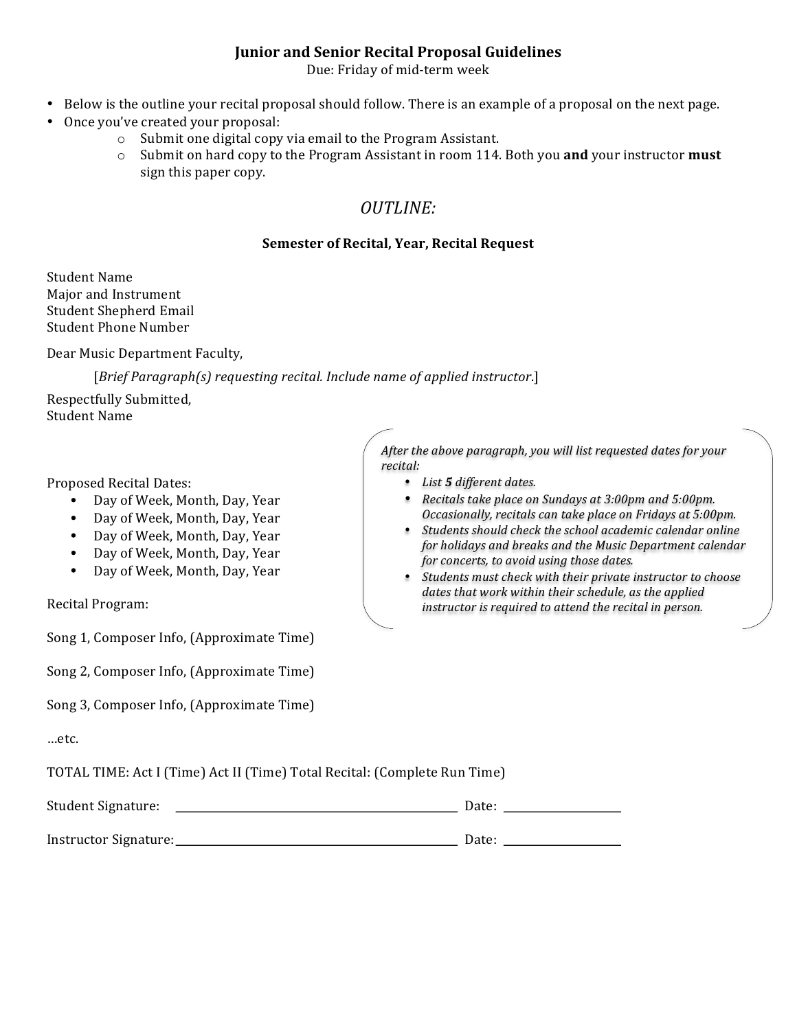### **Junior and Senior Recital Proposal Guidelines**

Due: Friday of mid-term week

- Below is the outline your recital proposal should follow. There is an example of a proposal on the next page.
- Once you've created your proposal:
	- $\circ$  Submit one digital copy via email to the Program Assistant.
	- $\circ$  Submit on hard copy to the Program Assistant in room 114. Both you **and** your instructor **must** sign this paper copy.

# *OUTLINE:*

### **Semester of Recital, Year, Recital Request**

Student Name Major and Instrument Student Shepherd Email Student Phone Number

Dear Music Department Faculty,

[Brief Paragraph(s) requesting recital. Include name of applied instructor.]

Respectfully Submitted, Student Name

Proposed Recital Dates:

- Day of Week, Month, Day, Year
- Day of Week, Month, Day, Year
- Day of Week, Month, Day, Year
- Day of Week, Month, Day, Year
- Day of Week, Month, Day, Year

Recital Program:

Song 1, Composer Info, (Approximate Time)

Song 2, Composer Info, (Approximate Time)

Song 3, Composer Info, (Approximate Time)

…etc. 

TOTAL TIME: Act I (Time) Act II (Time) Total Recital: (Complete Run Time)

| Student Signature:    | Date: |  |
|-----------------------|-------|--|
|                       |       |  |
| Instructor Signature: | Date: |  |

After the above paragraph, you will list requested dates for your *recital:* 

- *List 5 different dates.*
- *Recitals take place on Sundays at 3:00pm and 5:00pm. Occasionally, recitals can take place on Fridays at 5:00pm.*
- Students should check the school academic calendar online *for holidays and breaks and the Music Department calendar for concerts, to avoid using those dates.*
- Students must check with their private instructor to choose dates that work within their schedule, as the applied *instructor is required to attend the recital in person.*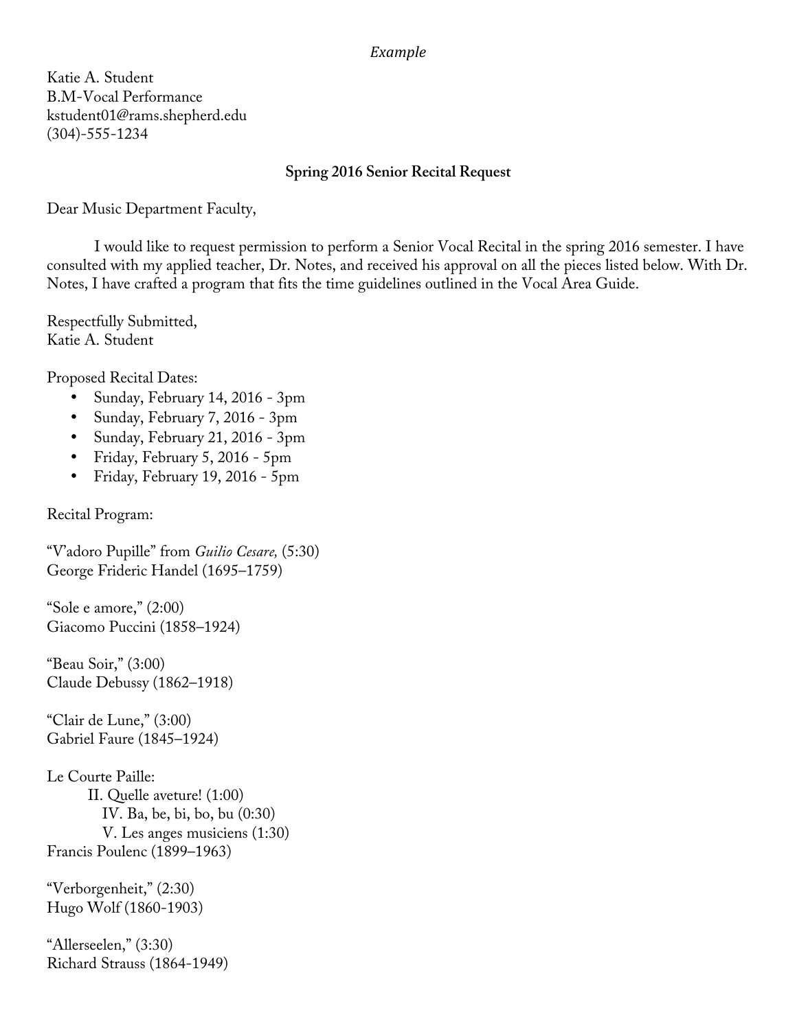#### *Example*

Katie A. Student B.M-Vocal Performance kstudent01@rams.shepherd.edu (304)-555-1234

## **Spring 2016 Senior Recital Request**

Dear Music Department Faculty,

 I would like to request permission to perform a Senior Vocal Recital in the spring 2016 semester. I have consulted with my applied teacher, Dr. Notes, and received his approval on all the pieces listed below. With Dr. Notes, I have crafted a program that fits the time guidelines outlined in the Vocal Area Guide.

Respectfully Submitted, Katie A. Student

Proposed Recital Dates:

- Sunday, February 14, 2016 3pm
- Sunday, February 7, 2016 3pm
- Sunday, February 21, 2016 3pm
- Friday, February 5, 2016 5pm
- Friday, February 19, 2016 5pm

Recital Program:

"V'adoro Pupille" from *Guilio Cesare,* (5:30) George Frideric Handel (1695–1759)

"Sole e amore," (2:00) Giacomo Puccini (1858–1924)

"Beau Soir," (3:00) Claude Debussy (1862–1918)

"Clair de Lune," (3:00) Gabriel Faure (1845–1924)

Le Courte Paille: II. Quelle aveture! (1:00) IV. Ba, be, bi, bo, bu (0:30) V. Les anges musiciens (1:30) Francis Poulenc (1899–1963)

"Verborgenheit," (2:30) Hugo Wolf (1860-1903)

"Allerseelen," (3:30) Richard Strauss (1864-1949)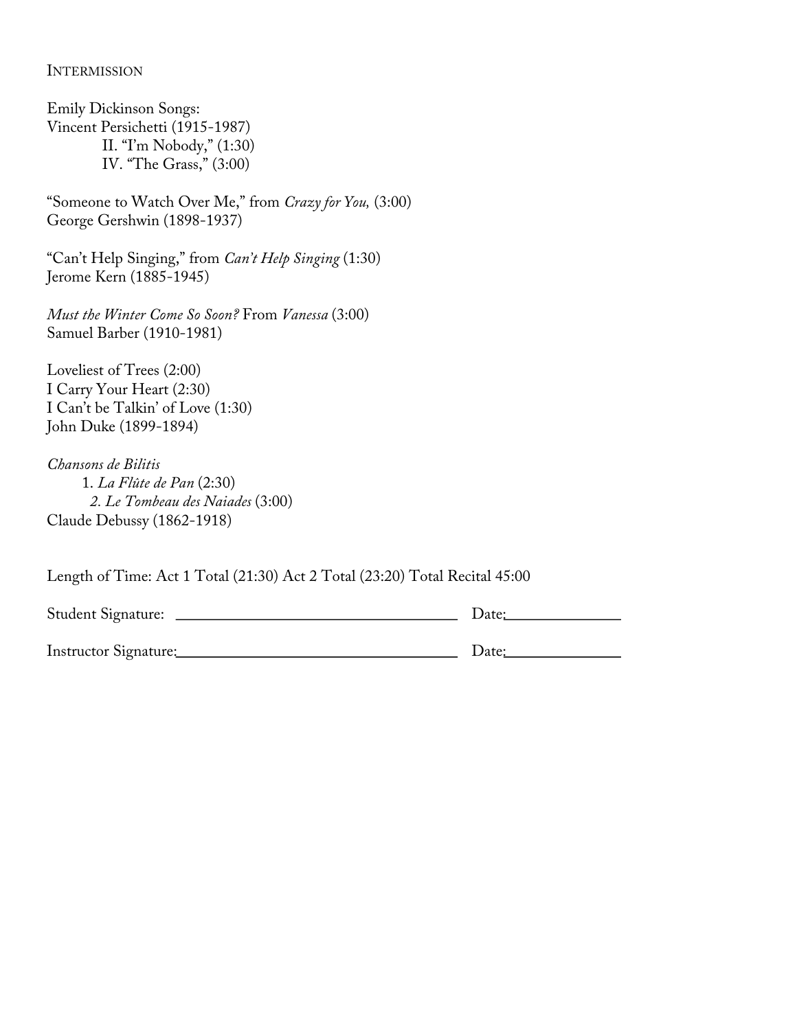#### **INTERMISSION**

Emily Dickinson Songs: Vincent Persichetti (1915-1987) II. "I'm Nobody," (1:30) IV. "The Grass," (3:00)

"Someone to Watch Over Me," from *Crazy for You,* (3:00) George Gershwin (1898-1937)

"Can't Help Singing," from *Can't Help Singing* (1:30) Jerome Kern (1885-1945)

*Must the Winter Come So Soon?* From *Vanessa* (3:00) Samuel Barber (1910-1981)

Loveliest of Trees (2:00) I Carry Your Heart (2:30) I Can't be Talkin' of Love (1:30) John Duke (1899-1894)

*Chansons de Bilitis*  1. *La Flûte de Pan* (2:30)  *2. Le Tombeau des Naiades* (3:00) Claude Debussy (1862-1918)

Length of Time: Act 1 Total (21:30) Act 2 Total (23:20) Total Recital 45:00

| Student Signature:    | Date: |
|-----------------------|-------|
| Instructor Signature: | Date: |